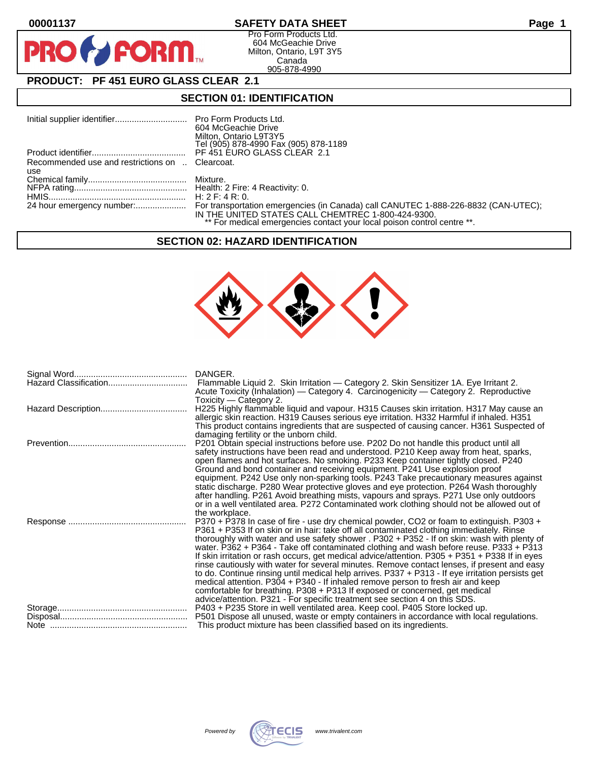$\mathbf O$ 

PR

# **00001137 SAFETY DATA SHEET Page 1**

Pro Form Products Ltd. 604 McGeachie Drive Milton, Ontario, L9T 3Y5 Canada 905-878-4990

# **PRODUCT: PF 451 EURO GLASS CLEAR 2.1**

**FORM** 

### **SECTION 01: IDENTIFICATION**

|                                                 | 604 McGeachie Drive                                                     |
|-------------------------------------------------|-------------------------------------------------------------------------|
|                                                 | Milton, Ontario L9T3Y5                                                  |
|                                                 | Tel (905) 878-4990 Fax (905) 878-1189                                   |
|                                                 | PF 451 EURO GLASS CLEAR 2.1                                             |
| Recommended use and restrictions on  Clearcoat. |                                                                         |
| use                                             |                                                                         |
|                                                 |                                                                         |
|                                                 |                                                                         |
|                                                 |                                                                         |
|                                                 |                                                                         |
|                                                 | IN THE UNITED STATES CALL CHEMTREC 1-800-424-9300.                      |
|                                                 | ** For medical emergencies contact your local poison control centre **. |

#### **SECTION 02: HAZARD IDENTIFICATION**



| DANGER.<br>Flammable Liquid 2. Skin Irritation - Category 2. Skin Sensitizer 1A. Eye Irritant 2.<br>Acute Toxicity (Inhalation) — Category 4. Carcinogenicity — Category 2. Reproductive                                                                                                                                                                                                                                                                                                                                                                                                                                                                                                                                                                                                                                                                                                                                                                                                                                                           |
|----------------------------------------------------------------------------------------------------------------------------------------------------------------------------------------------------------------------------------------------------------------------------------------------------------------------------------------------------------------------------------------------------------------------------------------------------------------------------------------------------------------------------------------------------------------------------------------------------------------------------------------------------------------------------------------------------------------------------------------------------------------------------------------------------------------------------------------------------------------------------------------------------------------------------------------------------------------------------------------------------------------------------------------------------|
| Toxicity - Category 2.<br>H225 Highly flammable liquid and vapour. H315 Causes skin irritation. H317 May cause an<br>allergic skin reaction. H319 Causes serious eye irritation. H332 Harmful if inhaled. H351<br>This product contains ingredients that are suspected of causing cancer. H361 Suspected of                                                                                                                                                                                                                                                                                                                                                                                                                                                                                                                                                                                                                                                                                                                                        |
| damaging fertility or the unborn child.<br>P201 Obtain special instructions before use. P202 Do not handle this product until all<br>safety instructions have been read and understood. P210 Keep away from heat, sparks,<br>open flames and hot surfaces. No smoking. P233 Keep container tightly closed. P240<br>Ground and bond container and receiving equipment. P241 Use explosion proof<br>equipment. P242 Use only non-sparking tools. P243 Take precautionary measures against<br>static discharge. P280 Wear protective gloves and eye protection. P264 Wash thoroughly<br>after handling. P261 Avoid breathing mists, vapours and sprays. P271 Use only outdoors                                                                                                                                                                                                                                                                                                                                                                        |
| or in a well ventilated area. P272 Contaminated work clothing should not be allowed out of<br>the workplace.<br>P370 + P378 In case of fire - use dry chemical powder, CO2 or foam to extinguish. P303 +<br>P361 + P353 If on skin or in hair: take off all contaminated clothing immediately. Rinse<br>thoroughly with water and use safety shower . P302 + P352 - If on skin: wash with plenty of<br>water. P362 + P364 - Take off contaminated clothing and wash before reuse. P333 + P313<br>If skin irritation or rash occurs, get medical advice/attention. P305 + P351 + P338 If in eyes<br>rinse cautiously with water for several minutes. Remove contact lenses, if present and easy<br>to do. Continue rinsing until medical help arrives. P337 + P313 - If eye irritation persists get<br>medical attention. P304 + P340 - If inhaled remove person to fresh air and keep<br>comfortable for breathing. P308 + P313 If exposed or concerned, get medical<br>advice/attention. P321 - For specific treatment see section 4 on this SDS. |
| P403 + P235 Store in well ventilated area. Keep cool. P405 Store locked up.<br>P501 Dispose all unused, waste or empty containers in accordance with local regulations.<br>This product mixture has been classified based on its ingredients.                                                                                                                                                                                                                                                                                                                                                                                                                                                                                                                                                                                                                                                                                                                                                                                                      |

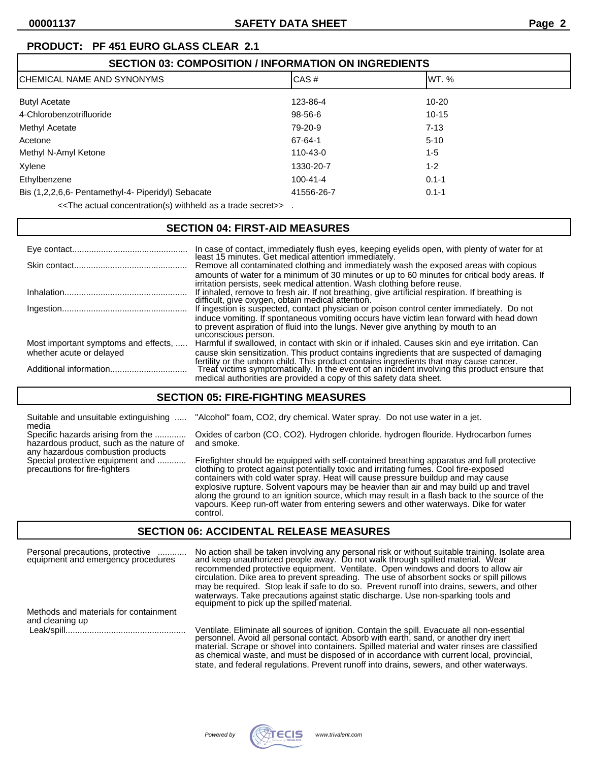# **PRODUCT: PF 451 EURO GLASS CLEAR 2.1**

| <b>SECTION 03: COMPOSITION / INFORMATION ON INGREDIENTS</b>                               |                |           |  |
|-------------------------------------------------------------------------------------------|----------------|-----------|--|
| ICHEMICAL NAME AND SYNONYMS                                                               | CAS#           | IWT. %    |  |
| <b>Butyl Acetate</b>                                                                      | 123-86-4       | $10 - 20$ |  |
| 4-Chlorobenzotrifluoride                                                                  | 98-56-6        | 10-15     |  |
| Methyl Acetate                                                                            | 79-20-9        | $7 - 13$  |  |
| Acetone                                                                                   | 67-64-1        | $5 - 10$  |  |
| Methyl N-Amyl Ketone                                                                      | 110-43-0       | 1-5       |  |
| Xylene                                                                                    | 1330-20-7      | $1 - 2$   |  |
| Ethylbenzene                                                                              | $100 - 41 - 4$ | $0.1 - 1$ |  |
| Bis (1,2,2,6,6- Pentamethyl-4- Piperidyl) Sebacate                                        | 41556-26-7     | $0.1 - 1$ |  |
| < <the a="" actual="" as="" concentration(s)="" secret="" trade="" withheld="">&gt;</the> |                |           |  |

#### **SECTION 04: FIRST-AID MEASURES**

|                                      | In case of contact, immediately flush eyes, keeping eyelids open, with plenty of water for at                                                                                                                                                                                                                            |
|--------------------------------------|--------------------------------------------------------------------------------------------------------------------------------------------------------------------------------------------------------------------------------------------------------------------------------------------------------------------------|
|                                      | least 15 minutes. Get medical attention immediately.<br>Remove all contaminated clothing and immediately wash the exposed areas with copious<br>amounts of water for a minimum of 30 minutes or up to 60 minutes for critical body areas. If<br>irritation persists, seek medical attention. Wash clothing before reuse. |
|                                      | If inhaled, remove to fresh air. If not breathing, give artificial respiration. If breathing is<br>difficult, give oxygen, obtain medical attention.                                                                                                                                                                     |
|                                      | If ingestion is suspected, contact physician or poison control center immediately. Do not                                                                                                                                                                                                                                |
|                                      | induce vomiting. If spontaneous vomiting occurs have victim lean forward with head down<br>to prevent aspiration of fluid into the lungs. Never give anything by mouth to an<br>unconscious person.                                                                                                                      |
| Most important symptoms and effects, | Harmful if swallowed, in contact with skin or if inhaled. Causes skin and eye irritation. Can                                                                                                                                                                                                                            |
| whether acute or delayed             | cause skin sensitization. This product contains ingredients that are suspected of damaging                                                                                                                                                                                                                               |
|                                      | fertility or the unborn child. This product contains ingredients that may cause cancer.<br>Treat victims symptomatically. In the event of an incident involving this product ensure that<br>medical authorities are provided a copy of this safety data sheet.                                                           |

#### **SECTION 05: FIRE-FIGHTING MEASURES**

| media | Suitable and unsuitable extinguishing  "Alcohol" to |              |
|-------|-----------------------------------------------------|--------------|
|       | Specific hazards arising from the                   | Oxides of ca |
|       | hazardous product, such as the nature of            | and smoke.   |

any hazardous combustion products

" foam, CO2, dry chemical. Water spray. Do not use water in a jet.

of carbon (CO, CO2). Hydrogen chloride. hydrogen flouride. Hydrocarbon fumes

Special protective equipment and ............ Firefighter should be equipped with self-contained breathing apparatus and full protective<br>precautions for fire-fighters continue of conting to protect against potentially toxi clothing to protect against potentially toxic and irritating fumes. Cool fire-exposed containers with cold water spray. Heat will cause pressure buildup and may cause explosive rupture. Solvent vapours may be heavier than air and may build up and travel along the ground to an ignition source, which may result in a flash back to the source of the vapours. Keep run-off water from entering sewers and other waterways. Dike for water control.

#### **SECTION 06: ACCIDENTAL RELEASE MEASURES**

Personal precautions, protective ............ No action shall be taken involving any personal risk or without suitable training. Isolate area equipment and emergency procedures and keep unauthorized people away. Do not walk through spilled material. Wear recommended protective equipment. Ventilate. Open windows and doors to allow air circulation. Dike area to prevent spreading. The use of absorbent socks or spill pillows may be required. Stop leak if safe to do so. Prevent runoff into drains, sewers, and other waterways. Take precautions against static discharge. Use non-sparking tools and equipment to pick up the spilled material. Methods and materials for containment and cleaning up Leak/spill.................................................. Ventilate. Eliminate all sources of ignition. Contain the spill. Evacuate all non-essential

personnel. Avoid all personal contact. Absorb with earth, sand, or another dry inert material. Scrape or shovel into containers. Spilled material and water rinses are classified as chemical waste, and must be disposed of in accordance with current local, provincial, state, and federal regulations. Prevent runoff into drains, sewers, and other waterways.

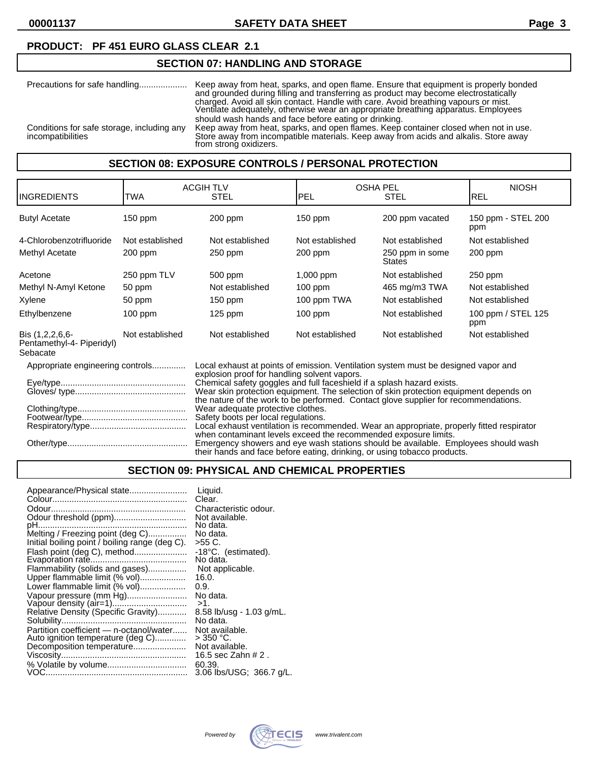#### **PRODUCT: PF 451 EURO GLASS CLEAR 2.1**

#### **SECTION 07: HANDLING AND STORAGE**

| Precautions for safe handling                                   | Keep away from heat, sparks, and open flame. Ensure that equipment is properly bonded<br>and grounded during filling and transferring as product may become electrostatically<br>charged. Avoid all skin contact. Handle with care. Avoid breathing vapours or mist.<br>Ventilate adequately, otherwise wear an appropriate breathing apparatus. Employees |
|-----------------------------------------------------------------|------------------------------------------------------------------------------------------------------------------------------------------------------------------------------------------------------------------------------------------------------------------------------------------------------------------------------------------------------------|
| Conditions for safe storage, including any<br>incompatibilities | should wash hands and face before eating or drinking.<br>Keep away from heat, sparks, and open flames. Keep container closed when not in use.<br>Store away from incompatible materials. Keep away from acids and alkalis. Store away<br>from strong oxidizers.                                                                                            |

#### **SECTION 08: EXPOSURE CONTROLS / PERSONAL PROTECTION**

|                                  |                                                                                                                                                                                                                                                                                                                                                                                                                                                                                                                                                                                          |                  |                                              | <b>NIOSH</b>                                                                                                                                                                      |
|----------------------------------|------------------------------------------------------------------------------------------------------------------------------------------------------------------------------------------------------------------------------------------------------------------------------------------------------------------------------------------------------------------------------------------------------------------------------------------------------------------------------------------------------------------------------------------------------------------------------------------|------------------|----------------------------------------------|-----------------------------------------------------------------------------------------------------------------------------------------------------------------------------------|
| TWA                              | <b>STEL</b>                                                                                                                                                                                                                                                                                                                                                                                                                                                                                                                                                                              | PEL              | STEL                                         | IREL                                                                                                                                                                              |
| $150$ ppm                        | 200 ppm                                                                                                                                                                                                                                                                                                                                                                                                                                                                                                                                                                                  | 150 ppm          | 200 ppm vacated                              | 150 ppm - STEL 200<br>ppm                                                                                                                                                         |
| Not established                  | Not established                                                                                                                                                                                                                                                                                                                                                                                                                                                                                                                                                                          | Not established  | Not established                              | Not established                                                                                                                                                                   |
| 200 ppm                          | 250 ppm                                                                                                                                                                                                                                                                                                                                                                                                                                                                                                                                                                                  | 200 ppm          | 250 ppm in some<br>States                    | 200 ppm                                                                                                                                                                           |
| 250 ppm TLV                      | 500 ppm                                                                                                                                                                                                                                                                                                                                                                                                                                                                                                                                                                                  | 1,000 ppm        | Not established                              | 250 ppm                                                                                                                                                                           |
| 50 ppm                           | Not established                                                                                                                                                                                                                                                                                                                                                                                                                                                                                                                                                                          | $100$ ppm        | 465 mg/m3 TWA                                | Not established                                                                                                                                                                   |
| 50 ppm                           | $150$ ppm                                                                                                                                                                                                                                                                                                                                                                                                                                                                                                                                                                                | 100 ppm TWA      | Not established                              | Not established                                                                                                                                                                   |
| $100$ ppm                        | $125$ ppm                                                                                                                                                                                                                                                                                                                                                                                                                                                                                                                                                                                | $100$ ppm        | Not established                              | 100 ppm / STEL 125<br>ppm                                                                                                                                                         |
| Not established                  | Not established                                                                                                                                                                                                                                                                                                                                                                                                                                                                                                                                                                          | Not established  | Not established                              | Not established                                                                                                                                                                   |
| Appropriate engineering controls |                                                                                                                                                                                                                                                                                                                                                                                                                                                                                                                                                                                          |                  |                                              |                                                                                                                                                                                   |
|                                  | Chemical safety goggles and full faceshield if a splash hazard exists.<br>Wear skin protection equipment. The selection of skin protection equipment depends on<br>the nature of the work to be performed. Contact glove supplier for recommendations.<br>Wear adequate protective clothes.<br>Safety boots per local regulations.<br>Local exhaust ventilation is recommended. Wear an appropriate, properly fitted respirator<br>when contaminant levels exceed the recommended exposure limits.<br>Emergency showers and eye wash stations should be available. Employees should wash |                  |                                              |                                                                                                                                                                                   |
|                                  |                                                                                                                                                                                                                                                                                                                                                                                                                                                                                                                                                                                          | <b>ACGIH TLV</b> | explosion proof for handling solvent vapors. | <b>OSHA PEL</b><br>Local exhaust at points of emission. Ventilation system must be designed vapor and<br>their hands and face before eating, drinking, or using tobacco products. |

#### **SECTION 09: PHYSICAL AND CHEMICAL PROPERTIES**

| Appearance/Physical state                      | Liquid.                  |
|------------------------------------------------|--------------------------|
|                                                | Clear.                   |
|                                                | Characteristic odour.    |
| Odour threshold (ppm)                          | Not available.           |
| рН<br>                                         | No data.                 |
| Melting / Freezing point (deg C)               | No data.                 |
| Initial boiling point / boiling range (deg C). | >55 C.                   |
| Flash point (deg C), method                    | -18°C. (estimated).      |
|                                                | No data.                 |
| Flammability (solids and gases)                | Not applicable.          |
| Upper flammable limit (% vol)                  | 16.0.                    |
| Lower flammable limit (% vol)                  | 0.9.                     |
| Vapour pressure (mm Hg)                        | No data.                 |
|                                                | >1.                      |
| Relative Density (Specific Gravity)            | 8.58 lb/usq - 1.03 g/mL. |
|                                                | No data.                 |
| Partition coefficient - n-octanol/water        | Not available.           |
| Auto ignition temperature (deg C)              | > 350 °C.                |
| Decomposition temperature                      | Not available.           |
|                                                | 16.5 sec Zahn # 2.       |
|                                                | 60.39.                   |
|                                                | 3.06 lbs/USG; 366.7 g/L. |
|                                                |                          |

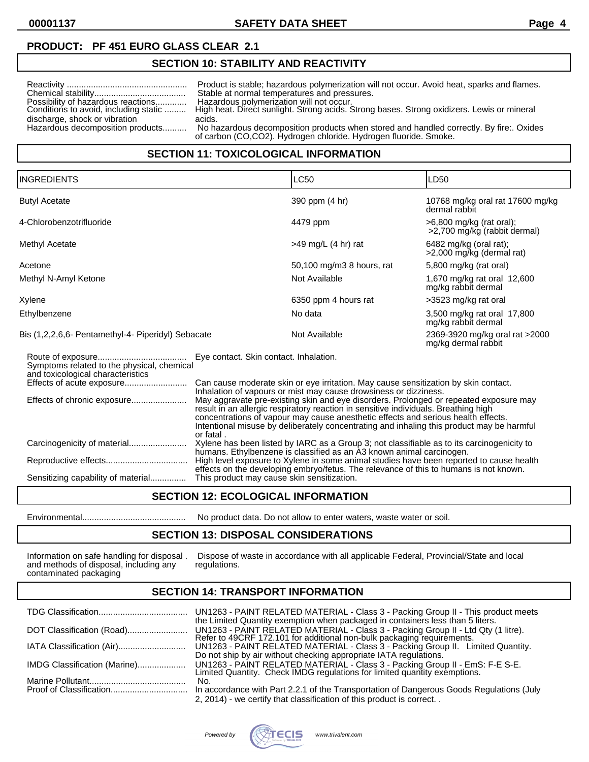# **PRODUCT: PF 451 EURO GLASS CLEAR 2.1**

### **SECTION 10: STABILITY AND REACTIVITY**

| Possibility of hazardous reactions<br>Conditions to avoid, including static<br>discharge, shock or vibration<br>Hazardous decomposition products | Product is stable; hazardous polymerization will not occur. Avoid heat, sparks and flames.<br>Stable at normal temperatures and pressures.<br>Hazardous polymerization will not occur.<br>High heat. Direct sunlight. Strong acids. Strong bases. Strong oxidizers. Lewis or mineral<br>acids.<br>No hazardous decomposition products when stored and handled correctly. By fire: Oxides<br>of carbon (CO,CO2). Hydrogen chloride. Hydrogen fluoride. Smoke. |  |
|--------------------------------------------------------------------------------------------------------------------------------------------------|--------------------------------------------------------------------------------------------------------------------------------------------------------------------------------------------------------------------------------------------------------------------------------------------------------------------------------------------------------------------------------------------------------------------------------------------------------------|--|
| CECTION 44. TOVICOLOGICAL INFODIMATION                                                                                                           |                                                                                                                                                                                                                                                                                                                                                                                                                                                              |  |

#### **SECTION 11: TOXICOLOGICAL INFORMATION**

| <b>INGREDIENTS</b>                                                                                             |                                                                                                                                                                                                                                                                                                                                                                                                                                                                                                                                                                     | <b>LC50</b>               | LD50                                                     |
|----------------------------------------------------------------------------------------------------------------|---------------------------------------------------------------------------------------------------------------------------------------------------------------------------------------------------------------------------------------------------------------------------------------------------------------------------------------------------------------------------------------------------------------------------------------------------------------------------------------------------------------------------------------------------------------------|---------------------------|----------------------------------------------------------|
| <b>Butyl Acetate</b>                                                                                           |                                                                                                                                                                                                                                                                                                                                                                                                                                                                                                                                                                     | 390 ppm (4 hr)            | 10768 mg/kg oral rat 17600 mg/kg<br>dermal rabbit        |
| 4-Chlorobenzotrifluoride                                                                                       |                                                                                                                                                                                                                                                                                                                                                                                                                                                                                                                                                                     | 4479 ppm                  | >6,800 mg/kg (rat oral);<br>>2,700 mg/kg (rabbit dermal) |
| Methyl Acetate                                                                                                 |                                                                                                                                                                                                                                                                                                                                                                                                                                                                                                                                                                     | $>49$ mg/L (4 hr) rat     | $6482$ mg/kg (oral rat);<br>>2,000 mg/kg (dermal rat)    |
| Acetone                                                                                                        |                                                                                                                                                                                                                                                                                                                                                                                                                                                                                                                                                                     | 50,100 mg/m3 8 hours, rat | 5,800 mg/kg (rat oral)                                   |
| Methyl N-Amyl Ketone                                                                                           |                                                                                                                                                                                                                                                                                                                                                                                                                                                                                                                                                                     | Not Available             | 1,670 mg/kg rat oral 12,600<br>mg/kg rabbit dermal       |
| Xylene                                                                                                         |                                                                                                                                                                                                                                                                                                                                                                                                                                                                                                                                                                     | 6350 ppm 4 hours rat      | >3523 mg/kg rat oral                                     |
| Ethylbenzene                                                                                                   |                                                                                                                                                                                                                                                                                                                                                                                                                                                                                                                                                                     | No data                   | 3,500 mg/kg rat oral 17,800<br>mg/kg rabbit dermal       |
| Bis (1,2,2,6,6- Pentamethyl-4- Piperidyl) Sebacate                                                             |                                                                                                                                                                                                                                                                                                                                                                                                                                                                                                                                                                     | Not Available             | 2369-3920 mg/kg oral rat >2000<br>mg/kg dermal rabbit    |
| Symptoms related to the physical, chemical<br>and toxicological characteristics<br>Effects of chronic exposure | Eye contact. Skin contact. Inhalation.<br>Can cause moderate skin or eye irritation. May cause sensitization by skin contact.<br>Inhalation of vapours or mist may cause drowsiness or dizziness.<br>May aggravate pre-existing skin and eye disorders. Prolonged or repeated exposure may<br>result in an allergic respiratory reaction in sensitive individuals. Breathing high<br>concentrations of vapour may cause anesthetic effects and serious health effects.<br>Intentional misuse by deliberately concentrating and inhaling this product may be harmful |                           |                                                          |
| Carcinogenicity of material<br>Sensitizing capability of material                                              | or fatal.<br>Xylene has been listed by IARC as a Group 3; not classifiable as to its carcinogenicity to<br>humans. Ethylbenzene is classified as an A3 known animal carcinogen.<br>High level exposure to Xylene in some animal studies have been reported to cause health<br>effects on the developing embryo/fetus. The relevance of this to humans is not known.<br>This product may cause skin sensitization.                                                                                                                                                   |                           |                                                          |

#### **SECTION 12: ECOLOGICAL INFORMATION**

Environmental........................................... No product data. Do not allow to enter waters, waste water or soil.

#### **SECTION 13: DISPOSAL CONSIDERATIONS**

Information on safe handling for disposal.<br>and methods of disposal, including any contaminated packaging

Dispose of waste in accordance with all applicable Federal, Provincial/State and local regulations.

#### **SECTION 14: TRANSPORT INFORMATION**

|                              | the Limited Quantity exemption when packaged in containers less than 5 liters.                                                                              |
|------------------------------|-------------------------------------------------------------------------------------------------------------------------------------------------------------|
| DOT Classification (Road)    | UN1263 - PAINT RELATED MATERIAL - Class 3 - Packing Group II - Ltd Qty (1 litre).<br>Refer to 49CRF 172.101 for additional non-bulk packaging requirements. |
|                              | UN1263 - PAINT RELATED MATERIAL - Class 3 - Packing Group II. Limited Quantity.<br>Do not ship by air without checking appropriate IATA regulations.        |
| IMDG Classification (Marine) | UN1263 - PAINT RELATED MATERIAL - Class 3 - Packing Group II - EmS: F-E S-E.<br>Limited Quantity. Check IMDG regulations for limited quantity exemptions.   |
|                              | No.                                                                                                                                                         |
|                              |                                                                                                                                                             |
|                              | 2, 2014) - we certify that classification of this product is correct                                                                                        |